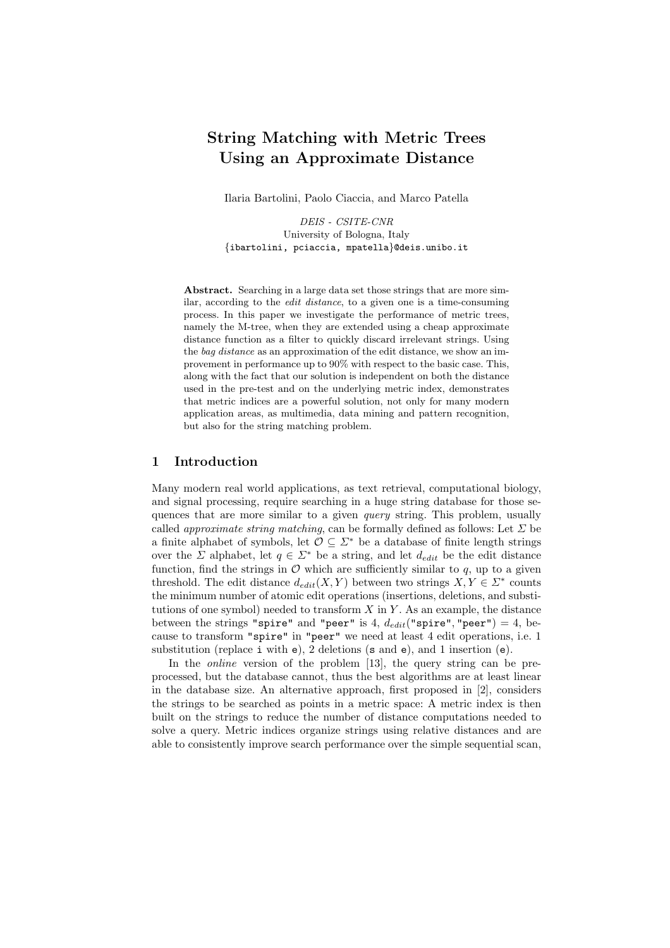# **String Matching with Metric Trees Using an Approximate Distance**

Ilaria Bartolini, Paolo Ciaccia, and Marco Patella

DEIS - CSITE-CNR University of Bologna, Italy {ibartolini, pciaccia, mpatella}@deis.unibo.it

**Abstract.** Searching in a large data set those strings that are more similar, according to the edit distance, to a given one is a time-consuming process. In this paper we investigate the performance of metric trees, namely the M-tree, when they are extended using a cheap approximate distance function as a filter to quickly discard irrelevant strings. Using the bag distance as an approximation of the edit distance, we show an improvement in performance up to 90% with respect to the basic case. This, along with the fact that our solution is independent on both the distance used in the pre-test and on the underlying metric index, demonstrates that metric indices are a powerful solution, not only for many modern application areas, as multimedia, data mining and pattern recognition, but also for the string matching problem.

## **1 Introduction**

Many modern real world applications, as text retrieval, computational biology, and signal processing, require searching in a huge string database for those sequences that are more similar to a given *query* string. This problem, usually called *approximate string matching*, can be formally defined as follows: Let  $\Sigma$  be a finite alphabet of symbols, let  $\mathcal{O} \subseteq \mathbb{Z}^*$  be a database of finite length strings over the  $\Sigma$  alphabet, let  $q \in \Sigma^*$  be a string, and let  $d_{edit}$  be the edit distance function, find the strings in  $\mathcal O$  which are sufficiently similar to  $q$ , up to a given threshold. The edit distance  $d_{edit}(X, Y)$  between two strings  $X, Y \in \Sigma^*$  counts the minimum number of atomic edit operations (insertions, deletions, and substitutions of one symbol) needed to transform  $X$  in  $Y$ . As an example, the distance between the strings "spire" and "peer" is 4,  $d_{edit}$  ("spire", "peer") = 4, because to transform "spire" in "peer" we need at least 4 edit operations, i.e. 1 substitution (replace  $i$  with  $e$ ),  $2$  deletions ( $s$  and  $e$ ), and  $1$  insertion  $(e)$ .

In the *online* version of the problem [13], the query string can be preprocessed, but the database cannot, thus the best algorithms are at least linear in the database size. An alternative approach, first proposed in [2], considers the strings to be searched as points in a metric space: A metric index is then built on the strings to reduce the number of distance computations needed to solve a query. Metric indices organize strings using relative distances and are able to consistently improve search performance over the simple sequential scan,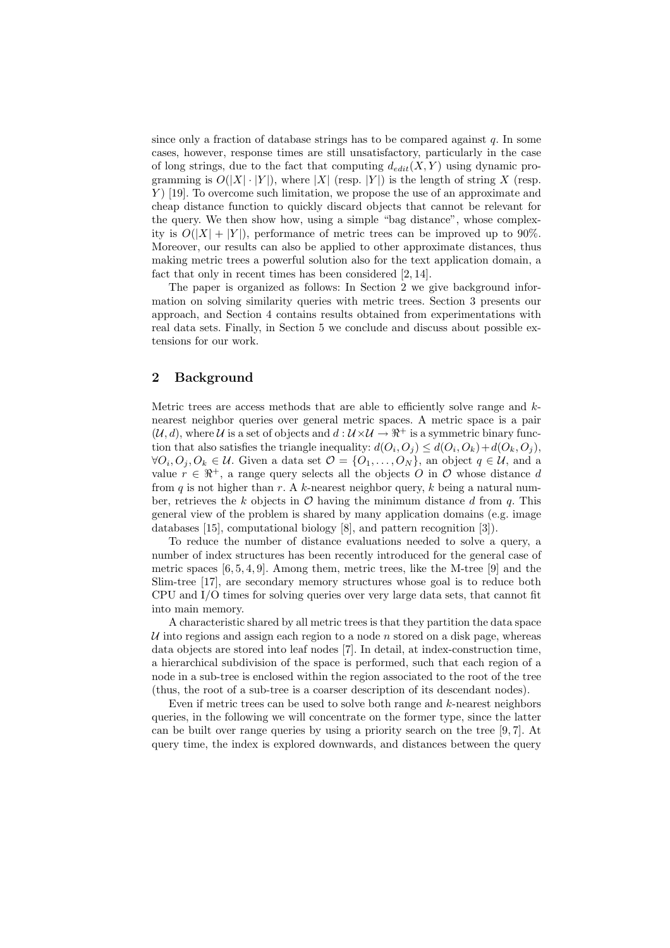since only a fraction of database strings has to be compared against  $q$ . In some cases, however, response times are still unsatisfactory, particularly in the case of long strings, due to the fact that computing  $d_{edit}(X, Y)$  using dynamic programming is  $O(|X| \cdot |Y|)$ , where  $|X|$  (resp.  $|Y|$ ) is the length of string X (resp. Y ) [19]. To overcome such limitation, we propose the use of an approximate and cheap distance function to quickly discard objects that cannot be relevant for the query. We then show how, using a simple "bag distance", whose complexity is  $O(|X| + |Y|)$ , performance of metric trees can be improved up to 90%. Moreover, our results can also be applied to other approximate distances, thus making metric trees a powerful solution also for the text application domain, a fact that only in recent times has been considered [2, 14].

The paper is organized as follows: In Section 2 we give background information on solving similarity queries with metric trees. Section 3 presents our approach, and Section 4 contains results obtained from experimentations with real data sets. Finally, in Section 5 we conclude and discuss about possible extensions for our work.

## **2 Background**

Metric trees are access methods that are able to efficiently solve range and  $k$ nearest neighbor queries over general metric spaces. A metric space is a pair  $(\mathcal{U}, d)$ , where  $\mathcal{U}$  is a set of objects and  $d : \mathcal{U} \times \mathcal{U} \to \mathbb{R}^+$  is a symmetric binary function that also satisfies the triangle inequality:  $d(O_i, O_j) \leq d(O_i, O_k) + d(O_k, O_j)$ ,  $\forall O_i, O_j, O_k \in \mathcal{U}$ . Given a data set  $\mathcal{O} = \{O_1, \ldots, O_N\}$ , an object  $q \in \mathcal{U}$ , and a value  $r \in \mathbb{R}^+$ , a range query selects all the objects O in O whose distance d from q is not higher than r. A k-nearest neighbor query, k being a natural number, retrieves the k objects in  $\mathcal O$  having the minimum distance d from q. This general view of the problem is shared by many application domains (e.g. image databases [15], computational biology [8], and pattern recognition [3]).

To reduce the number of distance evaluations needed to solve a query, a number of index structures has been recently introduced for the general case of metric spaces  $[6, 5, 4, 9]$ . Among them, metric trees, like the M-tree  $[9]$  and the Slim-tree [17], are secondary memory structures whose goal is to reduce both CPU and I/O times for solving queries over very large data sets, that cannot fit into main memory.

A characteristic shared by all metric trees is that they partition the data space  $U$  into regions and assign each region to a node n stored on a disk page, whereas data objects are stored into leaf nodes [7]. In detail, at index-construction time, a hierarchical subdivision of the space is performed, such that each region of a node in a sub-tree is enclosed within the region associated to the root of the tree (thus, the root of a sub-tree is a coarser description of its descendant nodes).

Even if metric trees can be used to solve both range and k-nearest neighbors queries, in the following we will concentrate on the former type, since the latter can be built over range queries by using a priority search on the tree [9, 7]. At query time, the index is explored downwards, and distances between the query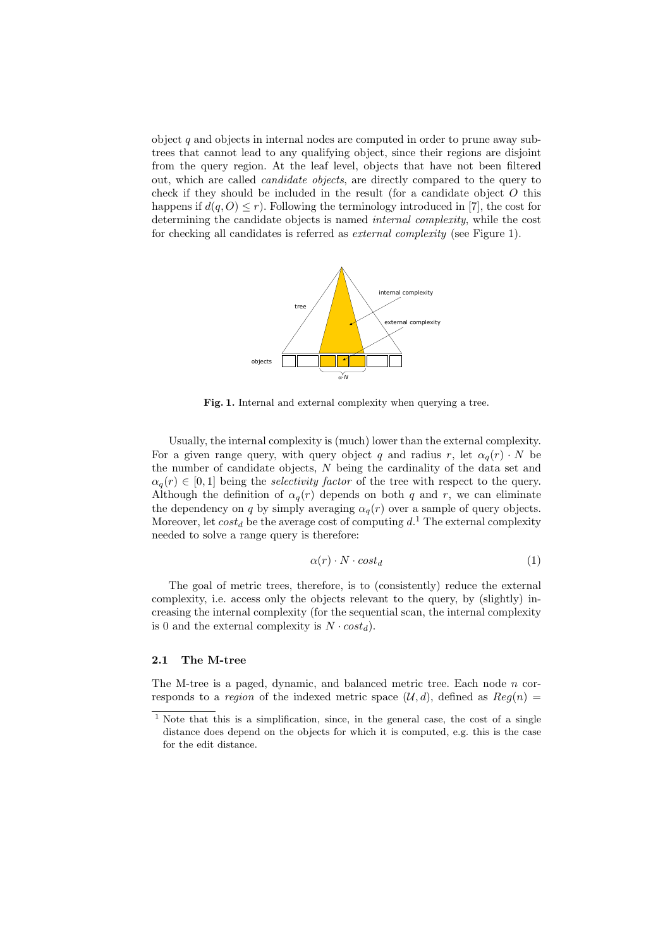object  $q$  and objects in internal nodes are computed in order to prune away subtrees that cannot lead to any qualifying object, since their regions are disjoint from the query region. At the leaf level, objects that have not been filtered out, which are called *candidate objects*, are directly compared to the query to check if they should be included in the result (for a candidate object  $O$  this happens if  $d(q, 0) \leq r$ ). Following the terminology introduced in [7], the cost for determining the candidate objects is named *internal complexity*, while the cost for checking all candidates is referred as *external complexity* (see Figure 1).



**Fig. 1.** Internal and external complexity when querying a tree.

Usually, the internal complexity is (much) lower than the external complexity. For a given range query, with query object q and radius r, let  $\alpha_q(r) \cdot N$  be the number of candidate objects, N being the cardinality of the data set and  $\alpha_q(r) \in [0,1]$  being the *selectivity factor* of the tree with respect to the query. Although the definition of  $\alpha_q(r)$  depends on both q and r, we can eliminate the dependency on q by simply averaging  $\alpha_q(r)$  over a sample of query objects. Moreover, let  $cost_d$  be the average cost of computing  $d$ <sup>1</sup>. The external complexity needed to solve a range query is therefore:

$$
\alpha(r) \cdot N \cdot cost_d \tag{1}
$$

The goal of metric trees, therefore, is to (consistently) reduce the external complexity, i.e. access only the objects relevant to the query, by (slightly) increasing the internal complexity (for the sequential scan, the internal complexity is 0 and the external complexity is  $N \cdot cost_d$ .

#### **2.1 The M-tree**

The M-tree is a paged, dynamic, and balanced metric tree. Each node  $n$  corresponds to a *region* of the indexed metric space  $(\mathcal{U}, d)$ , defined as  $Req(n)$  =

<sup>&</sup>lt;sup>1</sup> Note that this is a simplification, since, in the general case, the cost of a single distance does depend on the objects for which it is computed, e.g. this is the case for the edit distance.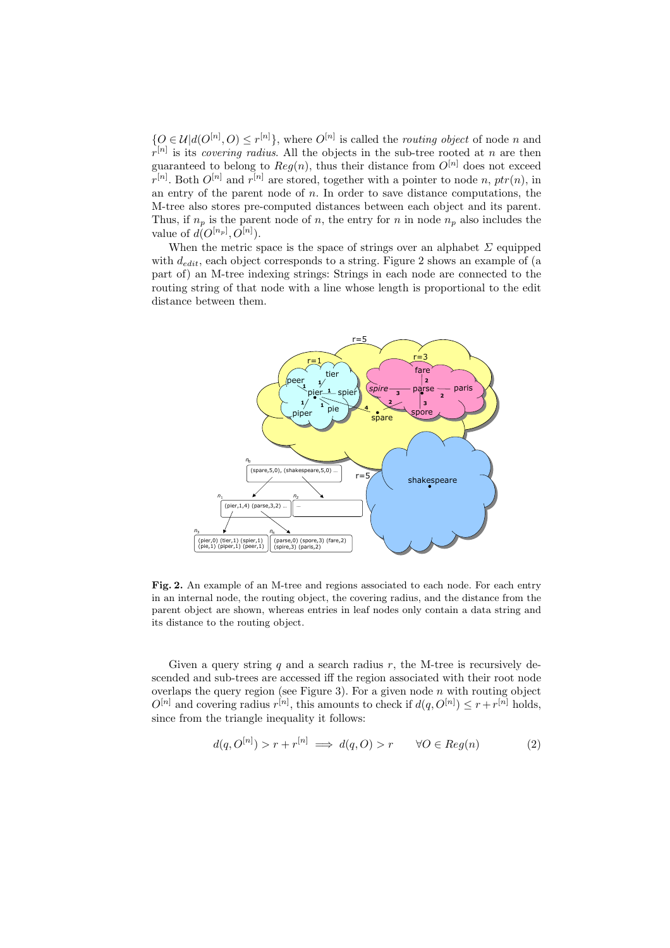${O \in \mathcal{U}|d(O^{[n]}, O) \leq r^{[n]}}$ , where  $O^{[n]}$  is called the *routing object* of node *n* and  $r^{[n]}$  is its *covering radius*. All the objects in the sub-tree rooted at *n* are then guaranteed to belong to  $Reg(n)$ , thus their distance from  $O^{[n]}$  does not exceed  $r^{[n]}$ . Both  $O^{[n]}$  and  $r^{[n]}$  are stored, together with a pointer to node n,  $ptr(n)$ , in an entry of the parent node of  $n$ . In order to save distance computations, the M-tree also stores pre-computed distances between each object and its parent. Thus, if  $n_p$  is the parent node of n, the entry for n in node  $n_p$  also includes the value of  $d(O^{[n_p]}, O^{[n]}).$ 

When the metric space is the space of strings over an alphabet  $\Sigma$  equipped with  $d_{edit}$ , each object corresponds to a string. Figure 2 shows an example of (a part of) an M-tree indexing strings: Strings in each node are connected to the routing string of that node with a line whose length is proportional to the edit distance between them.



**Fig. 2.** An example of an M-tree and regions associated to each node. For each entry in an internal node, the routing object, the covering radius, and the distance from the parent object are shown, whereas entries in leaf nodes only contain a data string and its distance to the routing object.

Given a query string q and a search radius  $r$ , the M-tree is recursively descended and sub-trees are accessed iff the region associated with their root node overlaps the query region (see Figure 3). For a given node  $n$  with routing object  $O^{[n]}$  and covering radius  $r^{[n]}$ , this amounts to check if  $d(q, O^{[n]}) \leq r + r^{[n]}$  holds, since from the triangle inequality it follows:

$$
d(q, O^{[n]}) > r + r^{[n]} \implies d(q, O) > r \qquad \forall O \in Reg(n)
$$
 (2)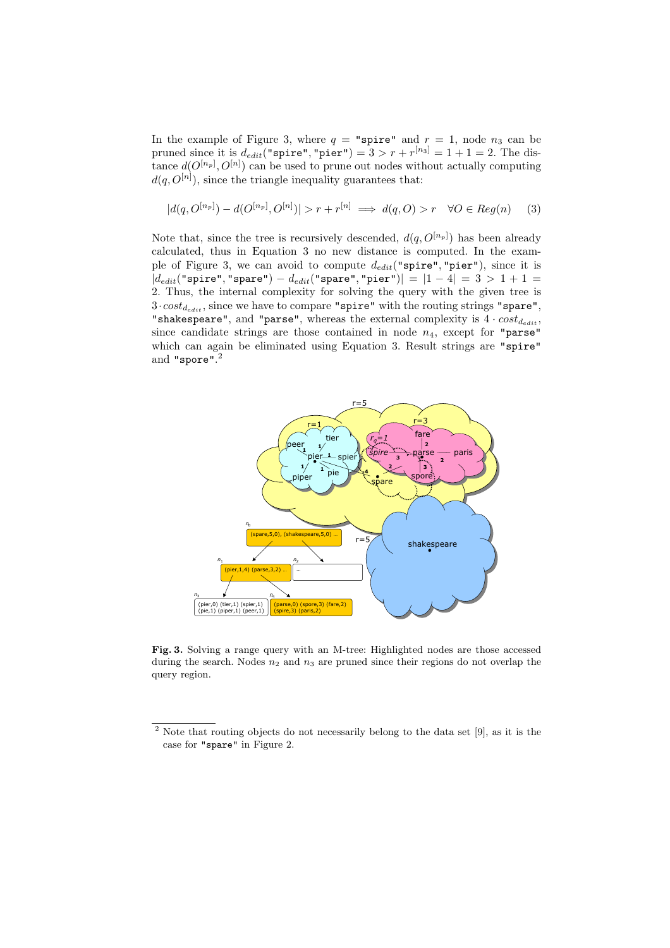In the example of Figure 3, where  $q =$  "spire" and  $r = 1$ , node  $n_3$  can be pruned since it is  $d_{edit}("spire", "pier") = 3 > r + r^{[n_3]} = 1 + 1 = 2$ . The distance  $d(O^{[n_p]}, O^{[n]})$  can be used to prune out nodes without actually computing  $d(q, O^{[n]})$ , since the triangle inequality guarantees that:

$$
|d(q, O^{[n_p]}) - d(O^{[n_p]}, O^{[n]})| > r + r^{[n]} \implies d(q, O) > r \quad \forall O \in Reg(n)
$$
 (3)

Note that, since the tree is recursively descended,  $d(q, O^{[n_p]})$  has been already calculated, thus in Equation 3 no new distance is computed. In the example of Figure 3, we can avoid to compute  $d_{edit}$  ("spire", "pier"), since it is  $|d_{edit}$ ("spire", "spare") –  $d_{edit}$ ("spare", "pier")| =  $|1-4|$  = 3 > 1 + 1 = 2. Thus, the internal complexity for solving the query with the given tree is  $3 \cdot cost_{d_{edit}}$ , since we have to compare "spire" with the routing strings "spare", "shakespeare", and "parse", whereas the external complexity is  $4 \cdot cost_{d_{edit}}$ , since candidate strings are those contained in node  $n_4$ , except for "parse" which can again be eliminated using Equation 3. Result strings are "spire" and "spore". 2



**Fig. 3.** Solving a range query with an M-tree: Highlighted nodes are those accessed during the search. Nodes  $n_2$  and  $n_3$  are pruned since their regions do not overlap the query region.

 $2$  Note that routing objects do not necessarily belong to the data set [9], as it is the case for "spare" in Figure 2.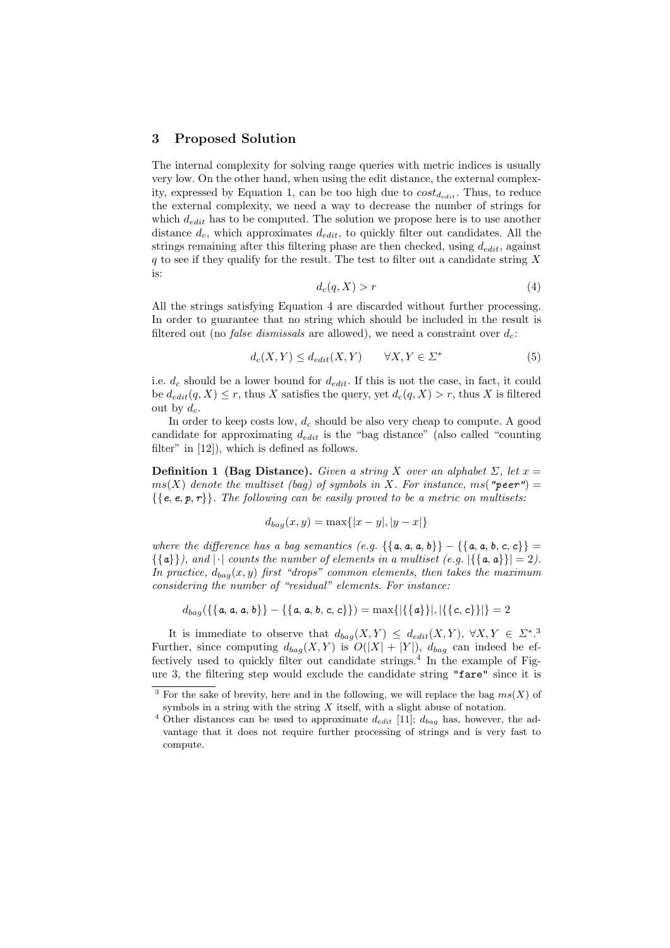#### **3 Proposed Solution**

The internal complexity for solving range queries with metric indices is usually very low. On the other hand, when using the edit distance, the external complexity, expressed by Equation 1, can be too high due to  $cost_{dedi}$ . Thus, to reduce the external complexity, we need a way to decrease the number of strings for which  $d_{edit}$  has to be computed. The solution we propose here is to use another distance  $d_c$ , which approximates  $d_{edit}$ , to quickly filter out candidates. All the strings remaining after this filtering phase are then checked, using  $d_{edit}$ , against  $q$  to see if they qualify for the result. The test to filter out a candidate string  $X$ is:

$$
d_c(q, X) > r \tag{4}
$$

All the strings satisfying Equation 4 are discarded without further processing. In order to guarantee that no string which should be included in the result is filtered out (no *false dismissals* are allowed), we need a constraint over  $d_c$ :

$$
d_c(X, Y) \le d_{edit}(X, Y) \qquad \forall X, Y \in \Sigma^*
$$
\n<sup>(5)</sup>

i.e.  $d_c$  should be a lower bound for  $d_{edit}$ . If this is not the case, in fact, it could be  $d_{edit}(q, X) \leq r$ , thus X satisfies the query, yet  $d_c(q, X) > r$ , thus X is filtered out by  $d_c$ .

In order to keep costs low,  $d_c$  should be also very cheap to compute. A good candidate for approximating  $d_{edit}$  is the "bag distance" (also called "counting filter" in [12]), which is defined as follows.

**Definition 1 (Bag Distance).** *Given a string* X *over an alphabet*  $\Sigma$ , let  $x =$  $ms(X)$  denote the multiset (bag) of symbols in X. For instance, ms ("peer") = {{e, e, p, r}}*. The following can be easily proved to be a metric on multisets:*

$$
d_{bag}(x, y) = \max\{|x - y|, |y - x|\}
$$

*where the difference has a bag semantics (e.g.*  $\{\{a, a, a, b\}\} - \{\{a, a, b, c, c\}\}$  $\{\{a\}\}\}\$ , and  $|\cdot|$  *counts the number of elements in a multiset (e.g.*  $|\{\{a, a\}\}| = 2$ ). *In practice,*  $d_{baq}(x, y)$  *first "drops" common elements, then takes the maximum considering the number of "residual" elements. For instance:*

$$
d_{bag}(\{\{a, a, a, b\}\}-\{\{a, a, b, c, c\}\}) = \max\{|\{\{a\}\}|, |\{\{c, c\}\}|\} = 2
$$

It is immediate to observe that  $d_{bag}(X,Y) \leq d_{edit}(X,Y)$ ,  $\forall X,Y \in \Sigma^{*,3}$ Further, since computing  $d_{baq}(X, Y)$  is  $O(|X| + |Y|)$ ,  $d_{baq}$  can indeed be effectively used to quickly filter out candidate strings.<sup>4</sup> In the example of Figure 3, the filtering step would exclude the candidate string "fare" since it is

<sup>&</sup>lt;sup>3</sup> For the sake of brevity, here and in the following, we will replace the bag  $ms(X)$  of symbols in a string with the string  $X$  itself, with a slight abuse of notation.

<sup>&</sup>lt;sup>4</sup> Other distances can be used to approximate  $d_{edit}$  [11];  $d_{bag}$  has, however, the advantage that it does not require further processing of strings and is very fast to compute.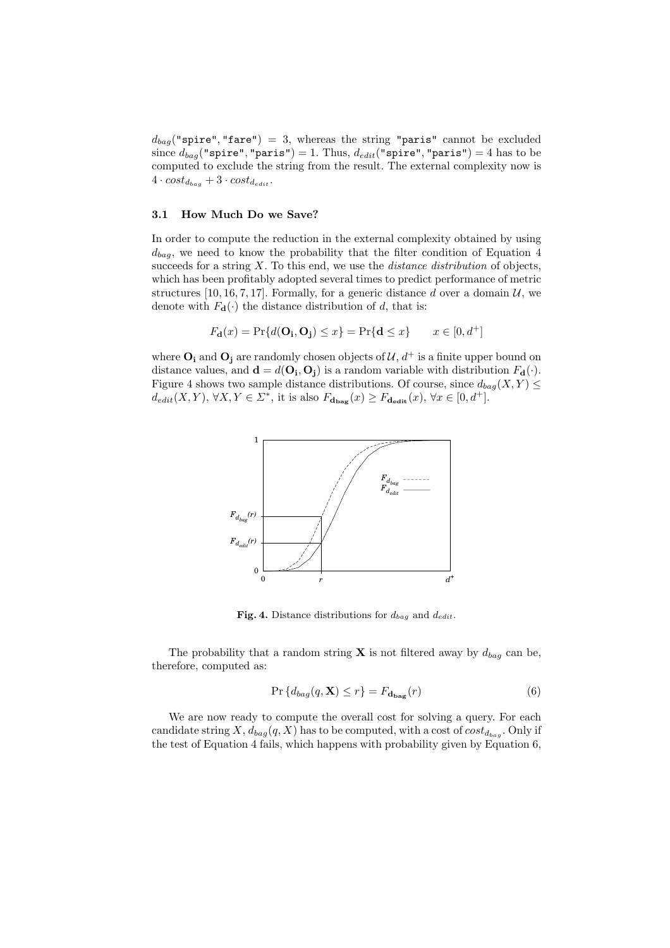$d_{bag}$ ("spire", "fare") = 3, whereas the string "paris" cannot be excluded since  $d_{bag}("spire", "paris") = 1$ . Thus,  $d_{edit}("spire", "paris") = 4$  has to be computed to exclude the string from the result. The external complexity now is  $4 \cdot cost_{d_{bag}} + 3 \cdot cost_{d_{edit}}.$ 

#### **3.1 How Much Do we Save?**

In order to compute the reduction in the external complexity obtained by using  $d_{baq}$ , we need to know the probability that the filter condition of Equation 4 succeeds for a string X. To this end, we use the *distance distribution* of objects, which has been profitably adopted several times to predict performance of metric structures [10, 16, 7, 17]. Formally, for a generic distance d over a domain  $\mathcal{U}$ , we denote with  $F_{\mathbf{d}}(\cdot)$  the distance distribution of d, that is:

$$
F_{\mathbf{d}}(x) = \Pr\{d(\mathbf{O_i}, \mathbf{O_j}) \le x\} = \Pr\{\mathbf{d} \le x\} \qquad x \in [0, d^+]
$$

where  $O_i$  and  $O_j$  are randomly chosen objects of  $\mathcal{U}, d^+$  is a finite upper bound on distance values, and  $\mathbf{d} = d(\mathbf{O_i}, \mathbf{O_j})$  is a random variable with distribution  $F_{\mathbf{d}}(\cdot)$ . Figure 4 shows two sample distance distributions. Of course, since  $d_{baq}(X, Y) \leq$  $d_{edit}(X, Y), \forall X, Y \in \Sigma^*,$  it is also  $F_{\bf d_{bag}}(x) \geq F_{\bf d_{edit}}(x), \forall x \in [0, d^+]$ .



**Fig. 4.** Distance distributions for  $d_{bag}$  and  $d_{edit}$ .

The probability that a random string **X** is not filtered away by  $d_{bag}$  can be, therefore, computed as:

$$
\Pr\left\{d_{bag}(q, \mathbf{X}) \le r\right\} = F_{\mathbf{d}_{\mathbf{bag}}}(r) \tag{6}
$$

We are now ready to compute the overall cost for solving a query. For each candidate string X,  $d_{bag}(q, X)$  has to be computed, with a cost of  $cost_{d_{bag}}$ . Only if the test of Equation 4 fails, which happens with probability given by Equation 6,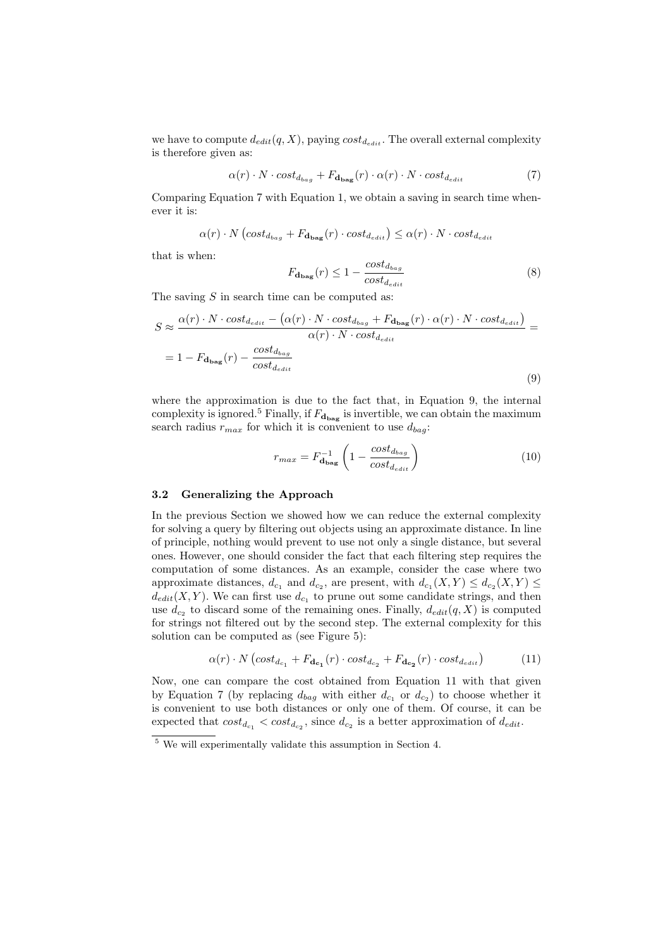we have to compute  $d_{edit}(q, X)$ , paying  $cost_{d_{edit}}$ . The overall external complexity is therefore given as:

$$
\alpha(r) \cdot N \cdot cost_{d_{bag}} + F_{\mathbf{d_{bag}}}(r) \cdot \alpha(r) \cdot N \cdot cost_{d_{edit}} \tag{7}
$$

Comparing Equation 7 with Equation 1, we obtain a saving in search time whenever it is:

$$
\alpha(r) \cdot N\left(\cos t_{d_{bag}} + F_{\mathbf{d_{bag}}}(r) \cdot \cos t_{d_{edit}}\right) \leq \alpha(r) \cdot N \cdot \cos t_{d_{edit}}
$$

that is when:

$$
F_{\mathbf{d}_{\mathbf{bag}}}(r) \le 1 - \frac{\cos t_{d_{bag}}}{\cos t_{d_{edit}}}
$$
\n
$$
\tag{8}
$$

The saving  $S$  in search time can be computed as:

$$
S \approx \frac{\alpha(r) \cdot N \cdot cost_{d_{edit}} - (\alpha(r) \cdot N \cdot cost_{d_{bag}} + F_{d_{bag}}(r) \cdot \alpha(r) \cdot N \cdot cost_{d_{edit}})}{\alpha(r) \cdot N \cdot cost_{d_{edit}}} =
$$

$$
= 1 - F_{d_{bag}}(r) - \frac{cost_{d_{bag}}}{cost_{d_{edit}}} \tag{9}
$$

where the approximation is due to the fact that, in Equation 9, the internal complexity is ignored.<sup>5</sup> Finally, if  $F_{\bf d_{\bf b}}$  is invertible, we can obtain the maximum search radius  $r_{max}$  for which it is convenient to use  $d_{ba}$ :

$$
r_{max} = F_{\mathbf{d}_{\mathbf{bag}}}^{-1} \left( 1 - \frac{\cos t_{d_{\mathbf{bag}}}}{\cos t_{d_{\mathbf{c}}}} \right) \tag{10}
$$

#### **3.2 Generalizing the Approach**

In the previous Section we showed how we can reduce the external complexity for solving a query by filtering out objects using an approximate distance. In line of principle, nothing would prevent to use not only a single distance, but several ones. However, one should consider the fact that each filtering step requires the computation of some distances. As an example, consider the case where two approximate distances,  $d_{c_1}$  and  $d_{c_2}$ , are present, with  $d_{c_1}(X, Y) \leq d_{c_2}(X, Y) \leq$  $d_{edit}(X, Y)$ . We can first use  $d_{c_1}$  to prune out some candidate strings, and then use  $d_{c_2}$  to discard some of the remaining ones. Finally,  $d_{edit}(q, X)$  is computed for strings not filtered out by the second step. The external complexity for this solution can be computed as (see Figure 5):

$$
\alpha(r) \cdot N\left(\cos t_{d_{c_1}} + F_{d_{c_1}}(r) \cdot \cos t_{d_{c_2}} + F_{d_{c_2}}(r) \cdot \cos t_{d_{edit}}\right) \tag{11}
$$

Now, one can compare the cost obtained from Equation 11 with that given by Equation 7 (by replacing  $d_{bag}$  with either  $d_{c_1}$  or  $d_{c_2}$ ) to choose whether it is convenient to use both distances or only one of them. Of course, it can be expected that  $cost_{d_{c_1}} < cost_{d_{c_2}}$ , since  $d_{c_2}$  is a better approximation of  $d_{edit}$ .

 $^{\rm 5}$  We will experimentally validate this assumption in Section 4.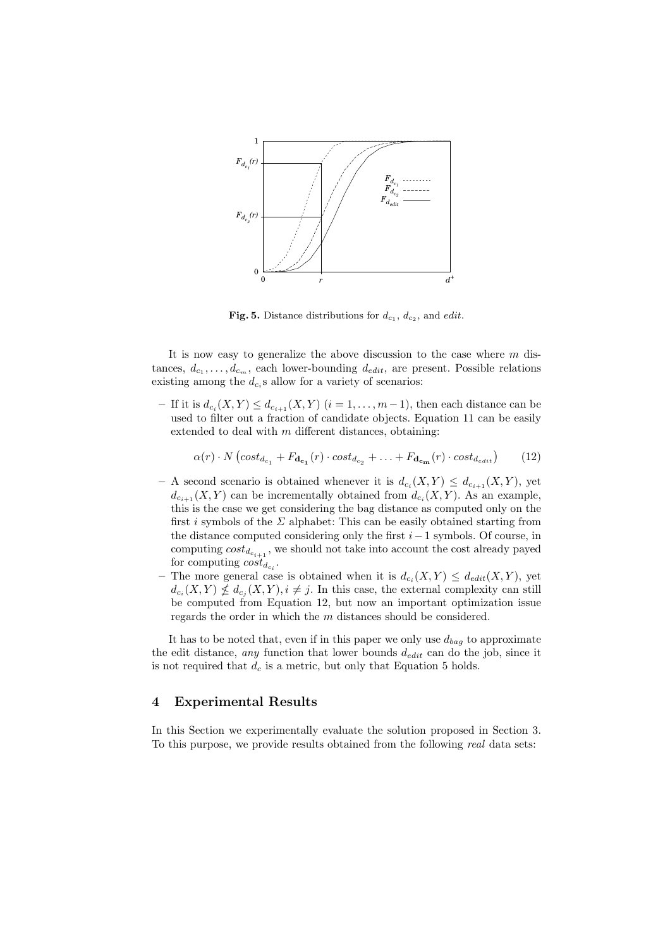

**Fig. 5.** Distance distributions for  $d_{c_1}$ ,  $d_{c_2}$ , and *edit*.

It is now easy to generalize the above discussion to the case where  $m$  distances,  $d_{c_1}, \ldots, d_{c_m}$ , each lower-bounding  $d_{edit}$ , are present. Possible relations existing among the  $d_{c_i}$ s allow for a variety of scenarios:

**−** If it is  $d_{c_i}(X, Y) \leq d_{c_{i+1}}(X, Y)$  ( $i = 1, \ldots, m-1$ ), then each distance can be used to filter out a fraction of candidate objects. Equation 11 can be easily extended to deal with m different distances, obtaining:

$$
\alpha(r) \cdot N\left(\cos t_{d_{c_1}} + F_{d_{c_1}}(r) \cdot \cos t_{d_{c_2}} + \ldots + F_{d_{c_m}}(r) \cdot \cos t_{d_{edit}}\right) \tag{12}
$$

- $-$  A second scenario is obtained whenever it is  $d_{c_i}(X, Y) \leq d_{c_{i+1}}(X, Y)$ , yet  $d_{c_{i+1}}(X, Y)$  can be incrementally obtained from  $d_{c_i}(X, Y)$ . As an example, this is the case we get considering the bag distance as computed only on the first *i* symbols of the  $\Sigma$  alphabet: This can be easily obtained starting from the distance computed considering only the first  $i-1$  symbols. Of course, in computing  $cost_{d_{c_{i+1}}}$ , we should not take into account the cost already payed for computing  $cost_{d_{c_i}}$ .
- The more general case is obtained when it is  $d_{c_i}(X, Y) \leq d_{edit}(X, Y)$ , yet  $d_{c_i}(X, Y) \nleq d_{c_i}(X, Y), i \neq j$ . In this case, the external complexity can still be computed from Equation 12, but now an important optimization issue regards the order in which the m distances should be considered.

It has to be noted that, even if in this paper we only use  $d_{bag}$  to approximate the edit distance, *any* function that lower bounds  $d_{edit}$  can do the job, since it is not required that  $d_c$  is a metric, but only that Equation 5 holds.

## **4Experimental Results**

In this Section we experimentally evaluate the solution proposed in Section 3. To this purpose, we provide results obtained from the following *real* data sets: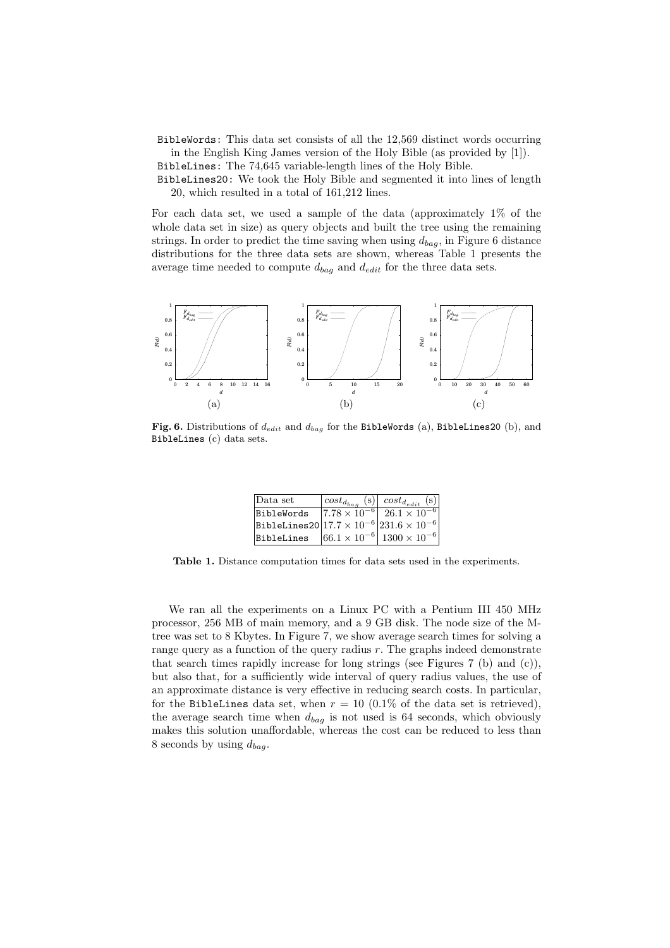BibleWords: This data set consists of all the 12,569 distinct words occurring in the English King James version of the Holy Bible (as provided by [1]).

BibleLines: The 74,645 variable-length lines of the Holy Bible.

BibleLines20: We took the Holy Bible and segmented it into lines of length 20, which resulted in a total of 161,212 lines.

For each data set, we used a sample of the data (approximately 1% of the whole data set in size) as query objects and built the tree using the remaining strings. In order to predict the time saving when using  $d_{baq}$ , in Figure 6 distance distributions for the three data sets are shown, whereas Table 1 presents the average time needed to compute  $d_{baq}$  and  $d_{edit}$  for the three data sets.



**Fig. 6.** Distributions of  $d_{edit}$  and  $d_{bag}$  for the BibleWords (a), BibleLines20 (b), and BibleLines (c) data sets.

| Data set                                                                    | $\left[\cosh t_{\text{diag}}(s)\right] \; \cos t_{\text{d}_{\text{edit}}} \; (s)$ |
|-----------------------------------------------------------------------------|-----------------------------------------------------------------------------------|
| BibleWords $7.78 \times 10^{-6}$ $26.1 \times 10^{-6}$                      |                                                                                   |
| BibleLines20 17.7 $\times$ 10 <sup>-6</sup> 231.6 $\times$ 10 <sup>-6</sup> |                                                                                   |
| BibleLines $ 66.1 \times 10^{-6}  1300 \times 10^{-6}$                      |                                                                                   |

**Table 1.** Distance computation times for data sets used in the experiments.

We ran all the experiments on a Linux PC with a Pentium III 450 MHz processor, 256 MB of main memory, and a 9 GB disk. The node size of the Mtree was set to 8 Kbytes. In Figure 7, we show average search times for solving a range query as a function of the query radius  $r$ . The graphs indeed demonstrate that search times rapidly increase for long strings (see Figures  $(7)$  (b) and  $(c)$ ), but also that, for a sufficiently wide interval of query radius values, the use of an approximate distance is very effective in reducing search costs. In particular, for the BibleLines data set, when  $r = 10$  (0.1% of the data set is retrieved), the average search time when  $d_{bag}$  is not used is 64 seconds, which obviously makes this solution unaffordable, whereas the cost can be reduced to less than 8 seconds by using  $d_{bag}$ .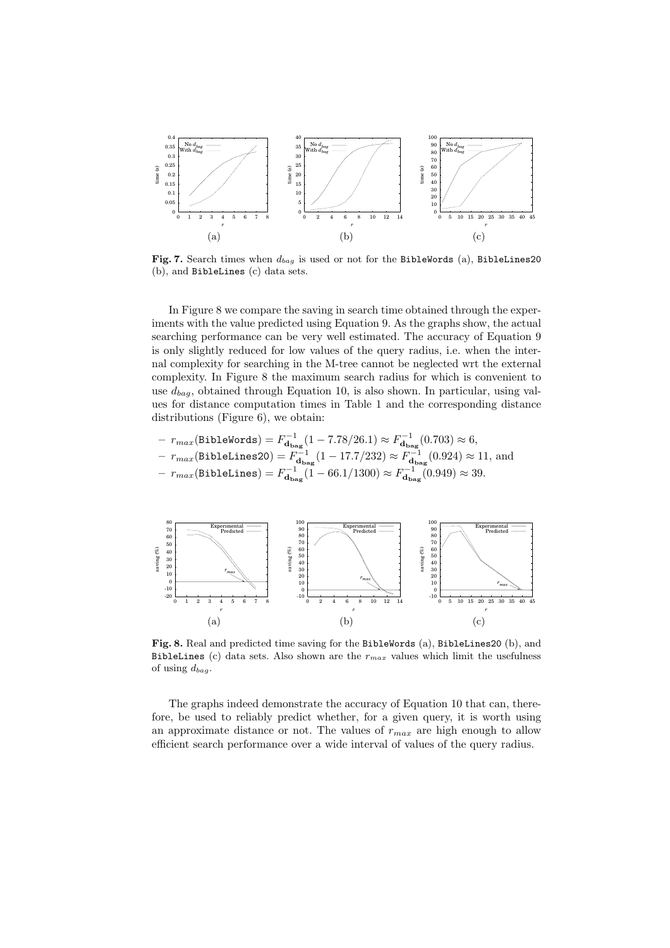

Fig. 7. Search times when  $d_{bag}$  is used or not for the BibleWords (a), BibleLines20 (b), and BibleLines (c) data sets.

In Figure 8 we compare the saving in search time obtained through the experiments with the value predicted using Equation 9. As the graphs show, the actual searching performance can be very well estimated. The accuracy of Equation 9 is only slightly reduced for low values of the query radius, i.e. when the internal complexity for searching in the M-tree cannot be neglected wrt the external complexity. In Figure 8 the maximum search radius for which is convenient to use  $d_{baq}$ , obtained through Equation 10, is also shown. In particular, using values for distance computation times in Table 1 and the corresponding distance distributions (Figure 6), we obtain:

$$
- r_{max}(\text{BibleWords}) = F_{\text{d}_{\text{bag}}}^{-1} (1 - 7.78/26.1) \approx F_{\text{d}_{\text{bag}}}^{-1} (0.703) \approx 6,
$$
  
- 
$$
r_{max}(\text{BibleLines20}) = F_{\text{d}_{\text{bag}}}^{-1} (1 - 17.7/232) \approx F_{\text{d}_{\text{bag}}}^{-1} (0.924) \approx 11,
$$
and  
- 
$$
r_{max}(\text{BibleLines}) = F_{\text{d}_{\text{bag}}}^{-1} (1 - 66.1/1300) \approx F_{\text{d}_{\text{bag}}}^{-1} (0.949) \approx 39.
$$



**Fig. 8.** Real and predicted time saving for the BibleWords (a), BibleLines20 (b), and BibleLines (c) data sets. Also shown are the  $r_{max}$  values which limit the usefulness of using  $d_{bag}$ .

The graphs indeed demonstrate the accuracy of Equation 10 that can, therefore, be used to reliably predict whether, for a given query, it is worth using an approximate distance or not. The values of  $r_{max}$  are high enough to allow efficient search performance over a wide interval of values of the query radius.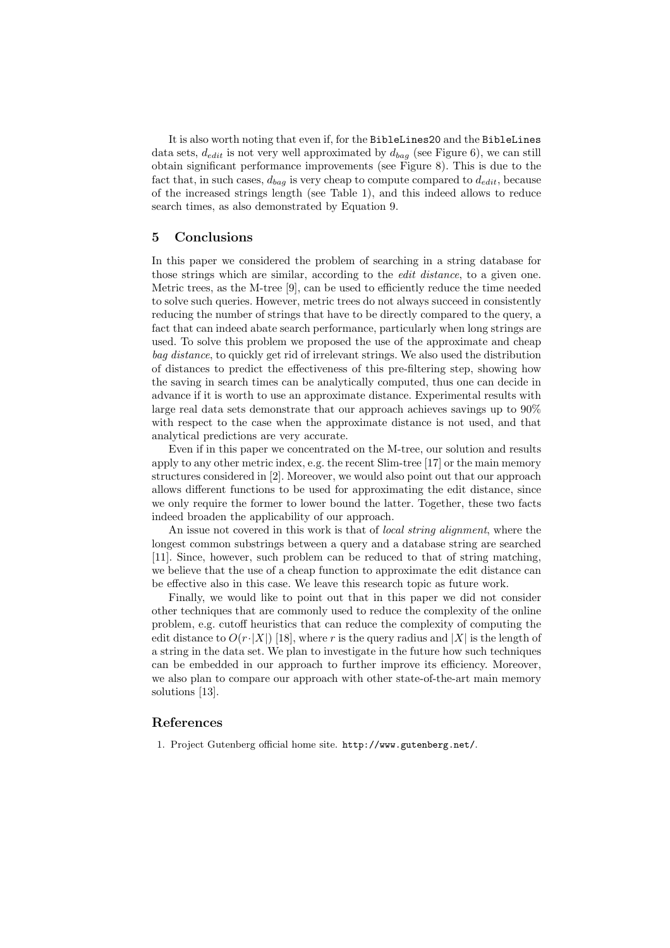It is also worth noting that even if, for the BibleLines20 and the BibleLines data sets,  $d_{edit}$  is not very well approximated by  $d_{bag}$  (see Figure 6), we can still obtain significant performance improvements (see Figure 8). This is due to the fact that, in such cases,  $d_{bag}$  is very cheap to compute compared to  $d_{edit}$ , because of the increased strings length (see Table 1), and this indeed allows to reduce search times, as also demonstrated by Equation 9.

### **5 Conclusions**

In this paper we considered the problem of searching in a string database for those strings which are similar, according to the *edit distance*, to a given one. Metric trees, as the M-tree [9], can be used to efficiently reduce the time needed to solve such queries. However, metric trees do not always succeed in consistently reducing the number of strings that have to be directly compared to the query, a fact that can indeed abate search performance, particularly when long strings are used. To solve this problem we proposed the use of the approximate and cheap *bag distance*, to quickly get rid of irrelevant strings. We also used the distribution of distances to predict the effectiveness of this pre-filtering step, showing how the saving in search times can be analytically computed, thus one can decide in advance if it is worth to use an approximate distance. Experimental results with large real data sets demonstrate that our approach achieves savings up to 90% with respect to the case when the approximate distance is not used, and that analytical predictions are very accurate.

Even if in this paper we concentrated on the M-tree, our solution and results apply to any other metric index, e.g. the recent Slim-tree [17] or the main memory structures considered in [2]. Moreover, we would also point out that our approach allows different functions to be used for approximating the edit distance, since we only require the former to lower bound the latter. Together, these two facts indeed broaden the applicability of our approach.

An issue not covered in this work is that of *local string alignment*, where the longest common substrings between a query and a database string are searched [11]. Since, however, such problem can be reduced to that of string matching, we believe that the use of a cheap function to approximate the edit distance can be effective also in this case. We leave this research topic as future work.

Finally, we would like to point out that in this paper we did not consider other techniques that are commonly used to reduce the complexity of the online problem, e.g. cutoff heuristics that can reduce the complexity of computing the edit distance to  $O(r \cdot |X|)$  [18], where r is the query radius and |X| is the length of a string in the data set. We plan to investigate in the future how such techniques can be embedded in our approach to further improve its efficiency. Moreover, we also plan to compare our approach with other state-of-the-art main memory solutions [13].

#### **References**

1. Project Gutenberg official home site. http://www.gutenberg.net/.